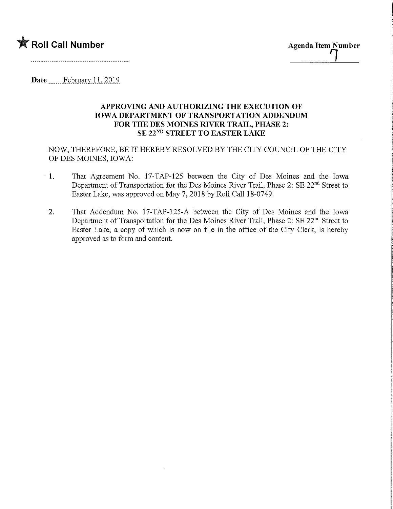

Date February 11, 2019

## APPROVING AND AUTHORIZING THE EXECUTION OF IOWA DEPARTMENT OF TRANSPORTATION ADDENDUM FOR THE DES MOINES RIVER TRAIL, PHASE 2: SE 22<sup>ND</sup> STREET TO EASTER LAKE

NOW, THEREFORE, BE IT HEREBY RESOLVED BY THE CITY COUNCIL OF THE CITY OF DES MOINES, IOWA:

- 1. That Agreement No. 17-TAP-125 between the City of Des Moines and the Iowa Department of Transportation for the Des Moines River Trail, Phase 2: SE 22<sup>nd</sup> Street to Easter Lake, was approved on May 7, 2018 by Roll Call 18-0749.
- 2. That Addendum No. 17-TAP-125-A between the City of Des Moines and the Iowa Department of Transportation for the Des Moines River Trail, Phase 2: SE 22<sup>nd</sup> Street to Easter Lake, a copy of which is now on file in the office of the City Clerk, is hereby approved as to form and content.